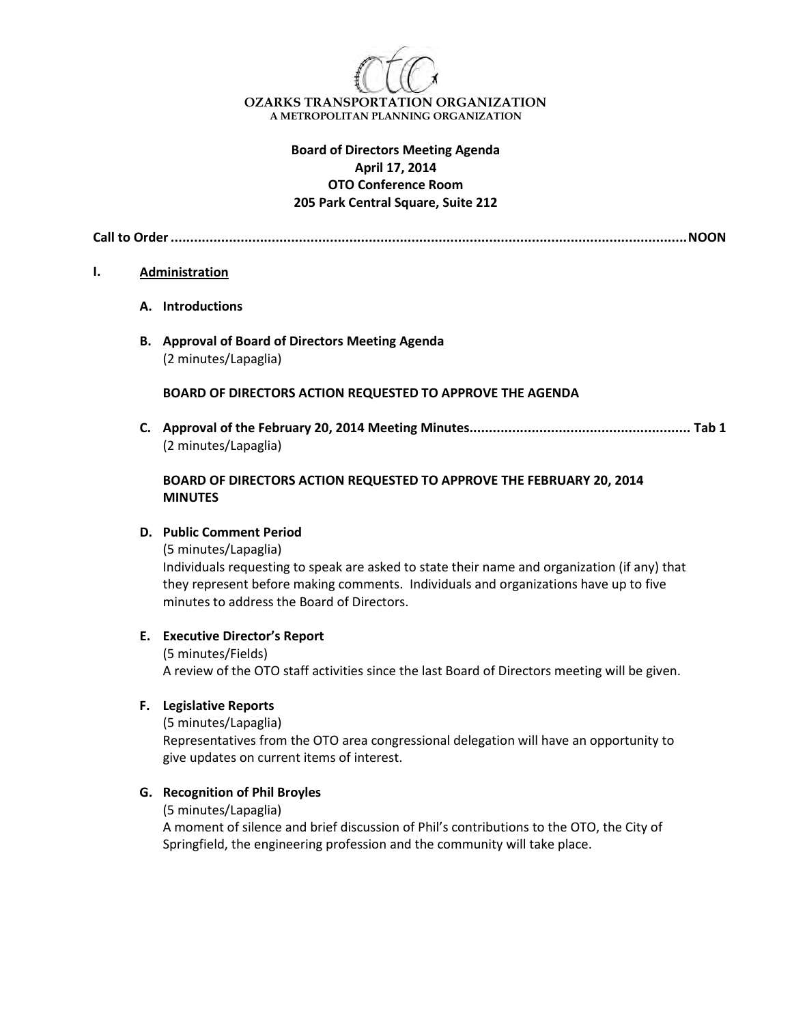

**OZARKS TRANSPORTATION ORGANIZATION A METROPOLITAN PLANNING ORGANIZATION**

## **Board of Directors Meeting Agenda April 17, 2014 OTO Conference Room 205 Park Central Square, Suite 212**

**Call to Order.....................................................................................................................................NOON**

#### **I. Administration**

- **A. Introductions**
- **B. Approval of Board of Directors Meeting Agenda** (2 minutes/Lapaglia)

#### **BOARD OF DIRECTORS ACTION REQUESTED TO APPROVE THE AGENDA**

**C. Approval of the February 20, 2014 Meeting Minutes......................................................... Tab 1** (2 minutes/Lapaglia)

### **BOARD OF DIRECTORS ACTION REQUESTED TO APPROVE THE FEBRUARY 20, 2014 MINUTES**

#### **D. Public Comment Period**

(5 minutes/Lapaglia)

Individuals requesting to speak are asked to state their name and organization (if any) that they represent before making comments. Individuals and organizations have up to five minutes to address the Board of Directors.

#### **E. Executive Director's Report**

(5 minutes/Fields) A review of the OTO staff activities since the last Board of Directors meeting will be given.

#### **F. Legislative Reports**

(5 minutes/Lapaglia)

Representatives from the OTO area congressional delegation will have an opportunity to give updates on current items of interest.

#### **G. Recognition of Phil Broyles**

(5 minutes/Lapaglia)

A moment of silence and brief discussion of Phil's contributions to the OTO, the City of Springfield, the engineering profession and the community will take place.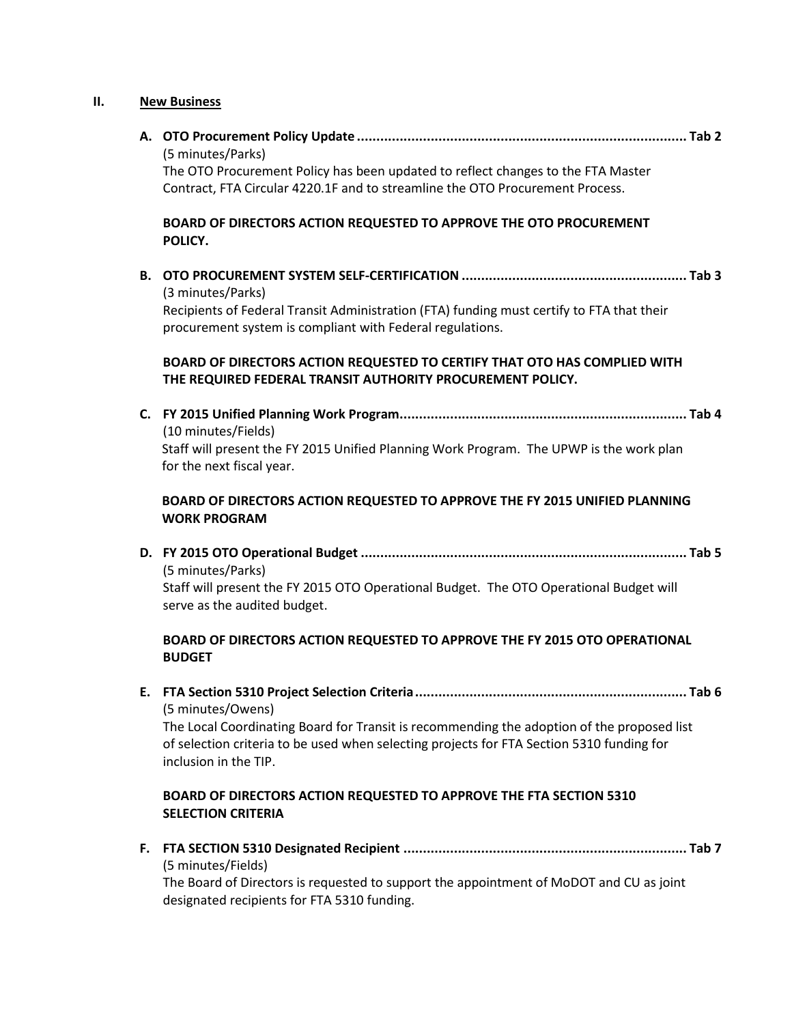# **II. New Business**

|           | (5 minutes/Parks)                                                                                                                                      |
|-----------|--------------------------------------------------------------------------------------------------------------------------------------------------------|
|           | The OTO Procurement Policy has been updated to reflect changes to the FTA Master                                                                       |
|           | Contract, FTA Circular 4220.1F and to streamline the OTO Procurement Process.                                                                          |
|           | BOARD OF DIRECTORS ACTION REQUESTED TO APPROVE THE OTO PROCUREMENT<br>POLICY.                                                                          |
| <b>B.</b> | (3 minutes/Parks)                                                                                                                                      |
|           | Recipients of Federal Transit Administration (FTA) funding must certify to FTA that their<br>procurement system is compliant with Federal regulations. |
|           |                                                                                                                                                        |
|           | BOARD OF DIRECTORS ACTION REQUESTED TO CERTIFY THAT OTO HAS COMPLIED WITH<br>THE REQUIRED FEDERAL TRANSIT AUTHORITY PROCUREMENT POLICY.                |
|           |                                                                                                                                                        |
|           | (10 minutes/Fields)                                                                                                                                    |
|           | Staff will present the FY 2015 Unified Planning Work Program. The UPWP is the work plan<br>for the next fiscal year.                                   |
|           | BOARD OF DIRECTORS ACTION REQUESTED TO APPROVE THE FY 2015 UNIFIED PLANNING<br><b>WORK PROGRAM</b>                                                     |
|           |                                                                                                                                                        |
|           | (5 minutes/Parks)                                                                                                                                      |
|           | Staff will present the FY 2015 OTO Operational Budget. The OTO Operational Budget will<br>serve as the audited budget.                                 |
|           | BOARD OF DIRECTORS ACTION REQUESTED TO APPROVE THE FY 2015 OTO OPERATIONAL<br><b>BUDGET</b>                                                            |
|           |                                                                                                                                                        |
|           | (5 minutes/Owens)                                                                                                                                      |
|           | The Local Coordinating Board for Transit is recommending the adoption of the proposed list                                                             |
|           | of selection criteria to be used when selecting projects for FTA Section 5310 funding for<br>inclusion in the TIP.                                     |
|           | BOARD OF DIRECTORS ACTION REQUESTED TO APPROVE THE FTA SECTION 5310<br><b>SELECTION CRITERIA</b>                                                       |
| F.        |                                                                                                                                                        |
|           | (5 minutes/Fields)                                                                                                                                     |
|           |                                                                                                                                                        |

The Board of Directors is requested to support the appointment of MoDOT and CU as joint designated recipients for FTA 5310 funding.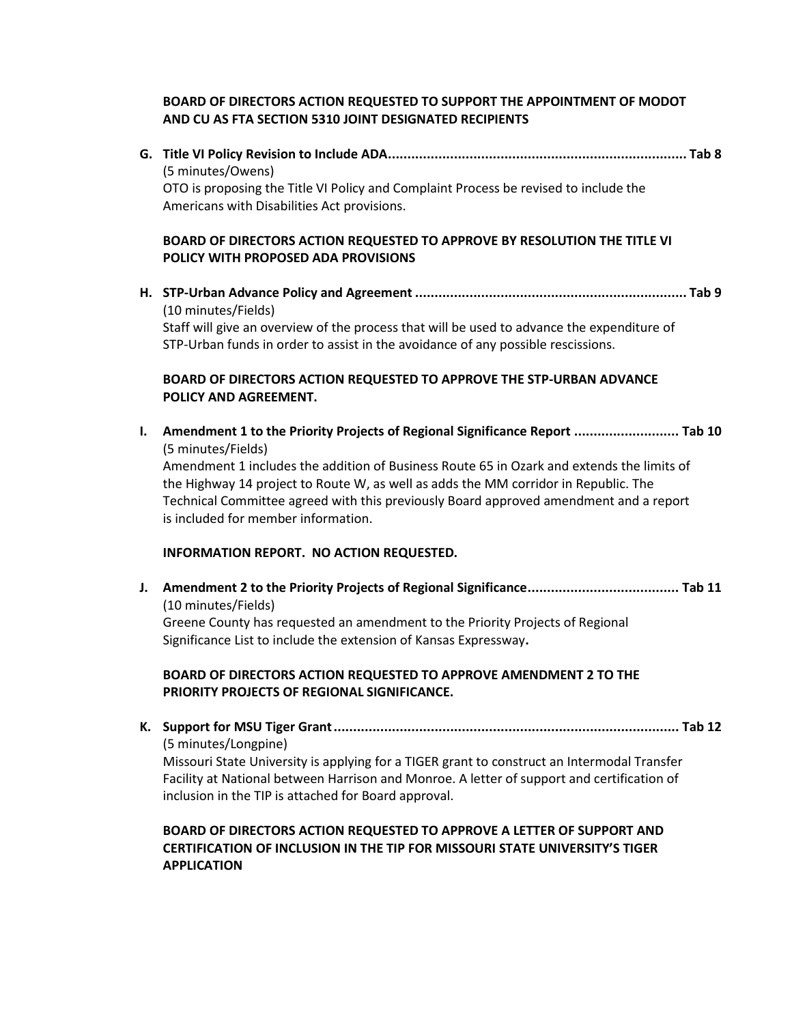## **BOARD OF DIRECTORS ACTION REQUESTED TO SUPPORT THE APPOINTMENT OF MODOT AND CU AS FTA SECTION 5310 JOINT DESIGNATED RECIPIENTS**

**G. Title VI Policy Revision to Include ADA............................................................................. Tab 8** (5 minutes/Owens) OTO is proposing the Title VI Policy and Complaint Process be revised to include the Americans with Disabilities Act provisions.

## **BOARD OF DIRECTORS ACTION REQUESTED TO APPROVE BY RESOLUTION THE TITLE VI POLICY WITH PROPOSED ADA PROVISIONS**

**H. STP-Urban Advance Policy and Agreement ...................................................................... Tab 9** (10 minutes/Fields) Staff will give an overview of the process that will be used to advance the expenditure of STP-Urban funds in order to assist in the avoidance of any possible rescissions.

## **BOARD OF DIRECTORS ACTION REQUESTED TO APPROVE THE STP-URBAN ADVANCE POLICY AND AGREEMENT.**

**I. Amendment 1 to the Priority Projects of Regional Significance Report ........................... Tab 10** (5 minutes/Fields) Amendment 1 includes the addition of Business Route 65 in Ozark and extends the limits of the Highway 14 project to Route W, as well as adds the MM corridor in Republic. The Technical Committee agreed with this previously Board approved amendment and a report is included for member information.

## **INFORMATION REPORT. NO ACTION REQUESTED.**

**J. Amendment 2 to the Priority Projects of Regional Significance....................................... Tab 11** (10 minutes/Fields) Greene County has requested an amendment to the Priority Projects of Regional Significance List to include the extension of Kansas Expressway**.** 

## **BOARD OF DIRECTORS ACTION REQUESTED TO APPROVE AMENDMENT 2 TO THE PRIORITY PROJECTS OF REGIONAL SIGNIFICANCE.**

**K. Support for MSU Tiger Grant......................................................................................... Tab 12**  (5 minutes/Longpine)

Missouri State University is applying for a TIGER grant to construct an Intermodal Transfer Facility at National between Harrison and Monroe. A letter of support and certification of inclusion in the TIP is attached for Board approval.

### **BOARD OF DIRECTORS ACTION REQUESTED TO APPROVE A LETTER OF SUPPORT AND CERTIFICATION OF INCLUSION IN THE TIP FOR MISSOURI STATE UNIVERSITY'S TIGER APPLICATION**